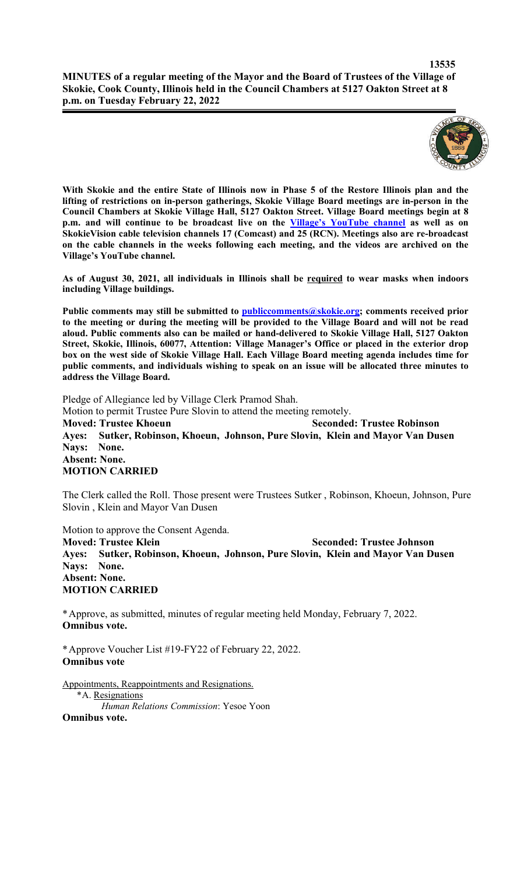

**With Skokie and the entire State of Illinois now in Phase 5 of the Restore Illinois plan and the lifting of restrictions on in-person gatherings, Skokie Village Board meetings are in-person in the Council Chambers at Skokie Village Hall, 5127 Oakton Street. Village Board meetings begin at 8 p.m. and will continue to be broadcast live on the Village's YouTube channel as well as on SkokieVision cable television channels 17 (Comcast) and 25 (RCN). Meetings also are re-broadcast on the cable channels in the weeks following each meeting, and the videos are archived on the Village's YouTube channel.**

**As of August 30, 2021, all individuals in Illinois shall be required to wear masks when indoors including Village buildings.** 

Public comments may still be submitted to **publiccomments@skokie.org;** comments received prior **to the meeting or during the meeting will be provided to the Village Board and will not be read aloud. Public comments also can be mailed or hand-delivered to Skokie Village Hall, 5127 Oakton Street, Skokie, Illinois, 60077, Attention: Village Manager's Office or placed in the exterior drop box on the west side of Skokie Village Hall. Each Village Board meeting agenda includes time for public comments, and individuals wishing to speak on an issue will be allocated three minutes to address the Village Board.**

Pledge of Allegiance led by Village Clerk Pramod Shah. Motion to permit Trustee Pure Slovin to attend the meeting remotely. **Moved: Trustee Khoeun Seconded: Trustee Robinson Ayes: Sutker, Robinson, Khoeun, Johnson, Pure Slovin, Klein and Mayor Van Dusen Nays: None. Absent: None. MOTION CARRIED**

The Clerk called the Roll. Those present were Trustees Sutker , Robinson, Khoeun, Johnson, Pure Slovin , Klein and Mayor Van Dusen

Motion to approve the Consent Agenda.

**Moved: Trustee Klein Seconded: Trustee Johnson Ayes: Sutker, Robinson, Khoeun, Johnson, Pure Slovin, Klein and Mayor Van Dusen Nays: None. Absent: None. MOTION CARRIED**

\*Approve, as submitted, minutes of regular meeting held Monday, February 7, 2022. **Omnibus vote.**

\*Approve Voucher List #19-FY22 of February 22, 2022. **Omnibus vote**

Appointments, Reappointments and Resignations. \*A. Resignations *Human Relations Commission*: Yesoe Yoon **Omnibus vote.**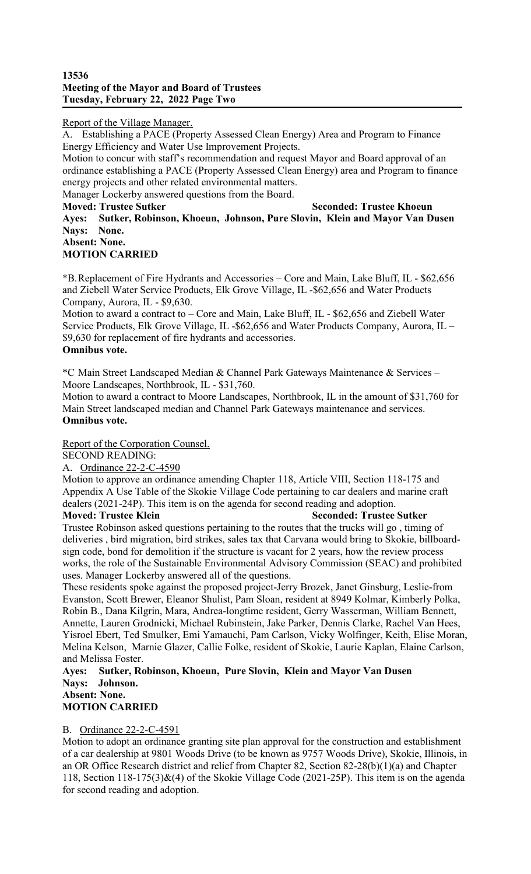### **13536 Meeting of the Mayor and Board of Trustees Tuesday, February 22, 2022 Page Two**

# Report of the Village Manager.

A. Establishing a PACE (Property Assessed Clean Energy) Area and Program to Finance Energy Efficiency and Water Use Improvement Projects.

Motion to concur with staff's recommendation and request Mayor and Board approval of an ordinance establishing a PACE (Property Assessed Clean Energy) area and Program to finance energy projects and other related environmental matters. Manager Lockerby answered questions from the Board.

### **Moved: Trustee Sutker Seconded: Trustee Khoeun Ayes: Sutker, Robinson, Khoeun, Johnson, Pure Slovin, Klein and Mayor Van Dusen Nays: None. Absent: None.**

# **MOTION CARRIED**

\*B.Replacement of Fire Hydrants and Accessories – Core and Main, Lake Bluff, IL - \$62,656 and Ziebell Water Service Products, Elk Grove Village, IL -\$62,656 and Water Products Company, Aurora, IL - \$9,630.

Motion to award a contract to – Core and Main, Lake Bluff, IL - \$62,656 and Ziebell Water Service Products, Elk Grove Village, IL -\$62,656 and Water Products Company, Aurora, IL – \$9,630 for replacement of fire hydrants and accessories. **Omnibus vote.**

\*C Main Street Landscaped Median & Channel Park Gateways Maintenance & Services – Moore Landscapes, Northbrook, IL - \$31,760.

Motion to award a contract to Moore Landscapes, Northbrook, IL in the amount of \$31,760 for Main Street landscaped median and Channel Park Gateways maintenance and services. **Omnibus vote.**

Report of the Corporation Counsel.

SECOND READING:

A. Ordinance 22-2-C-4590

Motion to approve an ordinance amending Chapter 118, Article VIII, Section 118-175 and Appendix A Use Table of the Skokie Village Code pertaining to car dealers and marine craft dealers (2021-24P). This item is on the agenda for second reading and adoption. **Moved: Trustee Klein Seconded: Trustee Sutker** 

Trustee Robinson asked questions pertaining to the routes that the trucks will go , timing of deliveries , bird migration, bird strikes, sales tax that Carvana would bring to Skokie, billboardsign code, bond for demolition if the structure is vacant for 2 years, how the review process works, the role of the Sustainable Environmental Advisory Commission (SEAC) and prohibited uses. Manager Lockerby answered all of the questions.

These residents spoke against the proposed project-Jerry Brozek, Janet Ginsburg, Leslie-from Evanston, Scott Brewer, Eleanor Shulist, Pam Sloan, resident at 8949 Kolmar, Kimberly Polka, Robin B., Dana Kilgrin, Mara, Andrea-longtime resident, Gerry Wasserman, William Bennett, Annette, Lauren Grodnicki, Michael Rubinstein, Jake Parker, Dennis Clarke, Rachel Van Hees, Yisroel Ebert, Ted Smulker, Emi Yamauchi, Pam Carlson, Vicky Wolfinger, Keith, Elise Moran, Melina Kelson, Marnie Glazer, Callie Folke, resident of Skokie, Laurie Kaplan, Elaine Carlson, and Melissa Foster.

**Ayes: Sutker, Robinson, Khoeun, Pure Slovin, Klein and Mayor Van Dusen Nays: Johnson. Absent: None.** 

# **MOTION CARRIED**

# B. Ordinance 22-2-C-4591

Motion to adopt an ordinance granting site plan approval for the construction and establishment of a car dealership at 9801 Woods Drive (to be known as 9757 Woods Drive), Skokie, Illinois, in an OR Office Research district and relief from Chapter 82, Section 82-28(b)(1)(a) and Chapter 118, Section 118-175(3)&(4) of the Skokie Village Code (2021-25P). This item is on the agenda for second reading and adoption.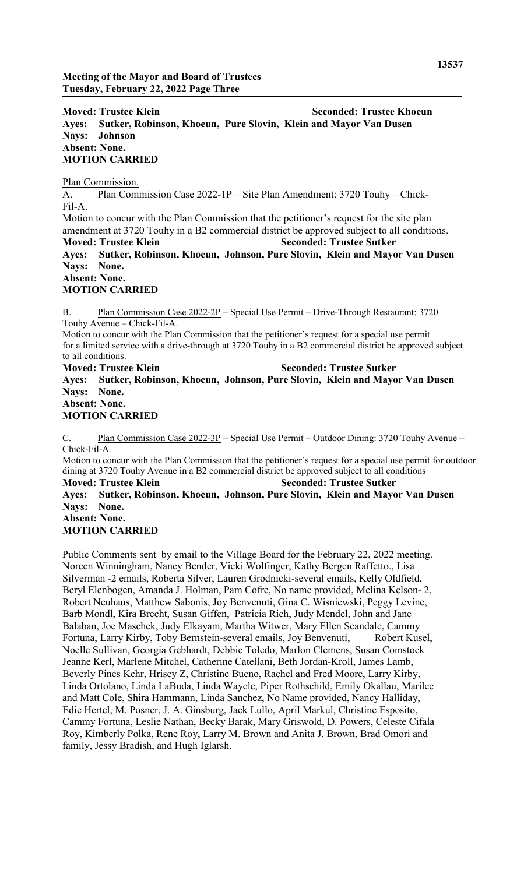**Moved: Trustee Klein Seconded: Trustee Khoeun Ayes: Sutker, Robinson, Khoeun, Pure Slovin, Klein and Mayor Van Dusen Nays: Johnson Absent: None. MOTION CARRIED**

Plan Commission.

A. Plan Commission Case 2022-1P – Site Plan Amendment: 3720 Touhy – Chick-Fil-A. Motion to concur with the Plan Commission that the petitioner's request for the site plan amendment at 3720 Touhy in a B2 commercial district be approved subject to all conditions. **Moved: Trustee Klein Seconded: Trustee Sutker Ayes: Sutker, Robinson, Khoeun, Johnson, Pure Slovin, Klein and Mayor Van Dusen Nays: None. Absent: None.** 

#### **MOTION CARRIED**

B. Plan Commission Case 2022-2P – Special Use Permit – Drive-Through Restaurant: 3720 Touhy Avenue – Chick-Fil-A.

Motion to concur with the Plan Commission that the petitioner's request for a special use permit for a limited service with a drive-through at 3720 Touhy in a B2 commercial district be approved subject to all conditions.

**Moved: Trustee Klein Seconded: Trustee Sutker Ayes: Sutker, Robinson, Khoeun, Johnson, Pure Slovin, Klein and Mayor Van Dusen Nays: None. Absent: None.** 

# **MOTION CARRIED**

C. Plan Commission Case 2022-3P – Special Use Permit – Outdoor Dining: 3720 Touhy Avenue – Chick-Fil-A.

Motion to concur with the Plan Commission that the petitioner's request for a special use permit for outdoor dining at 3720 Touhy Avenue in a B2 commercial district be approved subject to all conditions

**Moved: Trustee Klein Seconded: Trustee Sutker Ayes: Sutker, Robinson, Khoeun, Johnson, Pure Slovin, Klein and Mayor Van Dusen Nays: None. Absent: None. MOTION CARRIED**

Public Comments sent by email to the Village Board for the February 22, 2022 meeting. Noreen Winningham, Nancy Bender, Vicki Wolfinger, Kathy Bergen Raffetto., Lisa Silverman -2 emails, Roberta Silver, Lauren Grodnicki-several emails, Kelly Oldfield, Beryl Elenbogen, Amanda J. Holman, Pam Cofre, No name provided, Melina Kelson- 2, Robert Neuhaus, Matthew Sabonis, Joy Benvenuti, Gina C. Wisniewski, Peggy Levine, Barb Mondl, Kira Brecht, Susan Giffen, Patricia Rich, Judy Mendel, John and Jane Balaban, Joe Maschek, Judy Elkayam, Martha Witwer, Mary Ellen Scandale, Cammy Fortuna, Larry Kirby, Toby Bernstein-several emails, Joy Benvenuti, Robert Kusel, Noelle Sullivan, Georgia Gebhardt, Debbie Toledo, Marlon Clemens, Susan Comstock Jeanne Kerl, Marlene Mitchel, Catherine Catellani, Beth Jordan-Kroll, James Lamb, Beverly Pines Kehr, Hrisey Z, Christine Bueno, Rachel and Fred Moore, Larry Kirby, Linda Ortolano, Linda LaBuda, Linda Waycle, Piper Rothschild, Emily Okallau, Marilee and Matt Cole, Shira Hammann, Linda Sanchez, No Name provided, Nancy Halliday, Edie Hertel, M. Posner, J. A. Ginsburg, Jack Lullo, April Markul, Christine Esposito, Cammy Fortuna, Leslie Nathan, Becky Barak, Mary Griswold, D. Powers, Celeste Cifala Roy, Kimberly Polka, Rene Roy, Larry M. Brown and Anita J. Brown, Brad Omori and family, Jessy Bradish, and Hugh Iglarsh.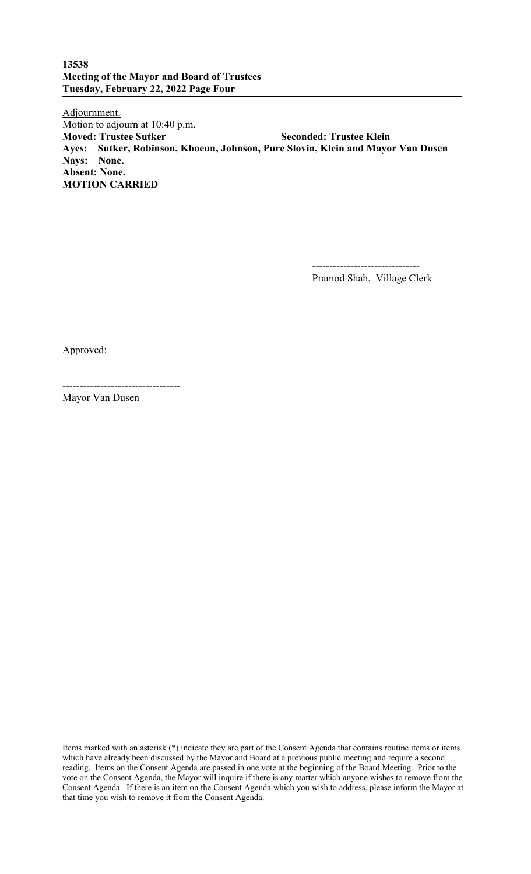# **13538 Meeting of the Mayor and Board of Trustees Tuesday, February 22, 2022 Page Four**

Adjournment. Motion to adjourn at 10:40 p.m. **Moved: Trustee Sutker Seconded: Trustee Klein Ayes: Sutker, Robinson, Khoeun, Johnson, Pure Slovin, Klein and Mayor Van Dusen Nays: None. Absent: None. MOTION CARRIED**

-------------------------------

Pramod Shah, Village Clerk

Approved:

---------------------------------- Mayor Van Dusen

Items marked with an asterisk (\*) indicate they are part of the Consent Agenda that contains routine items or items which have already been discussed by the Mayor and Board at a previous public meeting and require a second reading. Items on the Consent Agenda are passed in one vote at the beginning of the Board Meeting. Prior to the vote on the Consent Agenda, the Mayor will inquire if there is any matter which anyone wishes to remove from the Consent Agenda. If there is an item on the Consent Agenda which you wish to address, please inform the Mayor at that time you wish to remove it from the Consent Agenda.